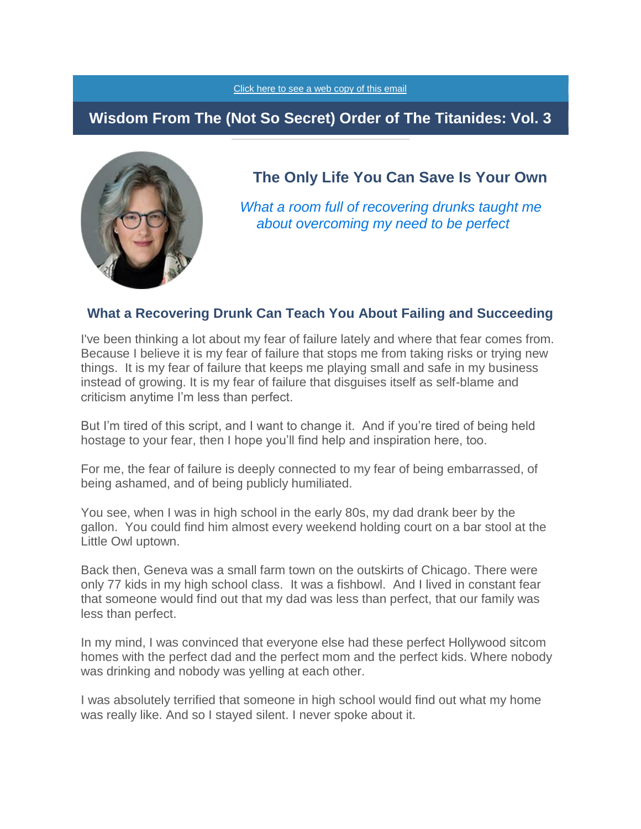#### [Click here to see a web copy of this email](https://titanidesllc.acemlna.com/lt.php?notrack=1¬rack=1&s=bad97c655476f96a390a72c05a742011&i=140A190A27A920)

## **Wisdom From The (Not So Secret) Order of The Titanides: Vol. 3**



**The Only Life You Can Save Is Your Own**

*What a room full of recovering drunks taught me about overcoming my need to be perfect*

#### **What a Recovering Drunk Can Teach You About Failing and Succeeding**

I've been thinking a lot about my fear of failure lately and where that fear comes from. Because I believe it is my fear of failure that stops me from taking risks or trying new things. It is my fear of failure that keeps me playing small and safe in my business instead of growing. It is my fear of failure that disguises itself as self-blame and criticism anytime I'm less than perfect.

But I'm tired of this script, and I want to change it. And if you're tired of being held hostage to your fear, then I hope you'll find help and inspiration here, too.

For me, the fear of failure is deeply connected to my fear of being embarrassed, of being ashamed, and of being publicly humiliated.

You see, when I was in high school in the early 80s, my dad drank beer by the gallon. You could find him almost every weekend holding court on a bar stool at the Little Owl uptown.

Back then, Geneva was a small farm town on the outskirts of Chicago. There were only 77 kids in my high school class. It was a fishbowl. And I lived in constant fear that someone would find out that my dad was less than perfect, that our family was less than perfect.

In my mind, I was convinced that everyone else had these perfect Hollywood sitcom homes with the perfect dad and the perfect mom and the perfect kids. Where nobody was drinking and nobody was yelling at each other.

I was absolutely terrified that someone in high school would find out what my home was really like. And so I stayed silent. I never spoke about it.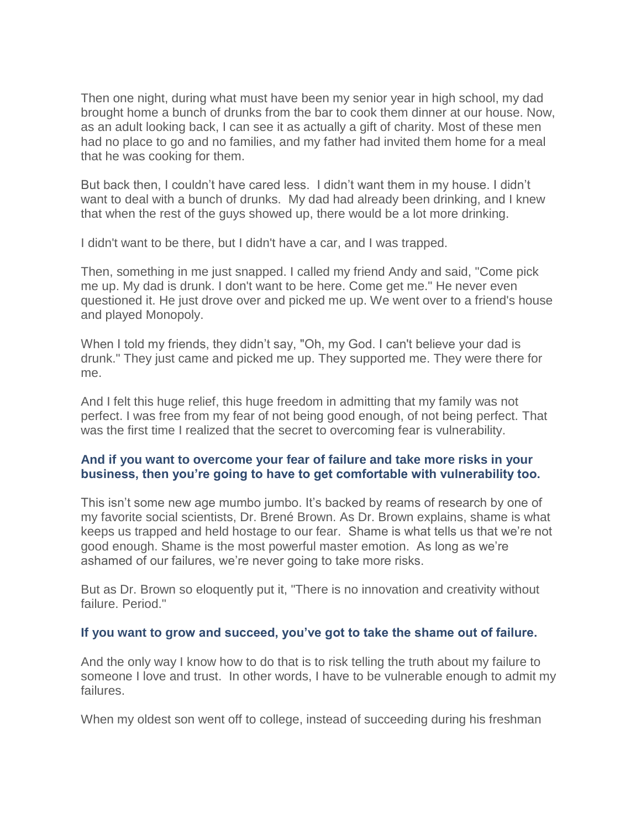Then one night, during what must have been my senior year in high school, my dad brought home a bunch of drunks from the bar to cook them dinner at our house. Now, as an adult looking back, I can see it as actually a gift of charity. Most of these men had no place to go and no families, and my father had invited them home for a meal that he was cooking for them.

But back then, I couldn't have cared less. I didn't want them in my house. I didn't want to deal with a bunch of drunks. My dad had already been drinking, and I knew that when the rest of the guys showed up, there would be a lot more drinking.

I didn't want to be there, but I didn't have a car, and I was trapped.

Then, something in me just snapped. I called my friend Andy and said, "Come pick me up. My dad is drunk. I don't want to be here. Come get me." He never even questioned it. He just drove over and picked me up. We went over to a friend's house and played Monopoly.

When I told my friends, they didn't say, "Oh, my God. I can't believe your dad is drunk." They just came and picked me up. They supported me. They were there for me.

And I felt this huge relief, this huge freedom in admitting that my family was not perfect. I was free from my fear of not being good enough, of not being perfect. That was the first time I realized that the secret to overcoming fear is vulnerability.

### **And if you want to overcome your fear of failure and take more risks in your business, then you're going to have to get comfortable with vulnerability too.**

This isn't some new age mumbo jumbo. It's backed by reams of research by one of my favorite social scientists, Dr. Brené Brown. As Dr. Brown explains, shame is what keeps us trapped and held hostage to our fear. Shame is what tells us that we're not good enough. Shame is the most powerful master emotion. As long as we're ashamed of our failures, we're never going to take more risks.

But as Dr. Brown so eloquently put it, "There is no innovation and creativity without failure. Period."

### **If you want to grow and succeed, you've got to take the shame out of failure.**

And the only way I know how to do that is to risk telling the truth about my failure to someone I love and trust. In other words, I have to be vulnerable enough to admit my failures.

When my oldest son went off to college, instead of succeeding during his freshman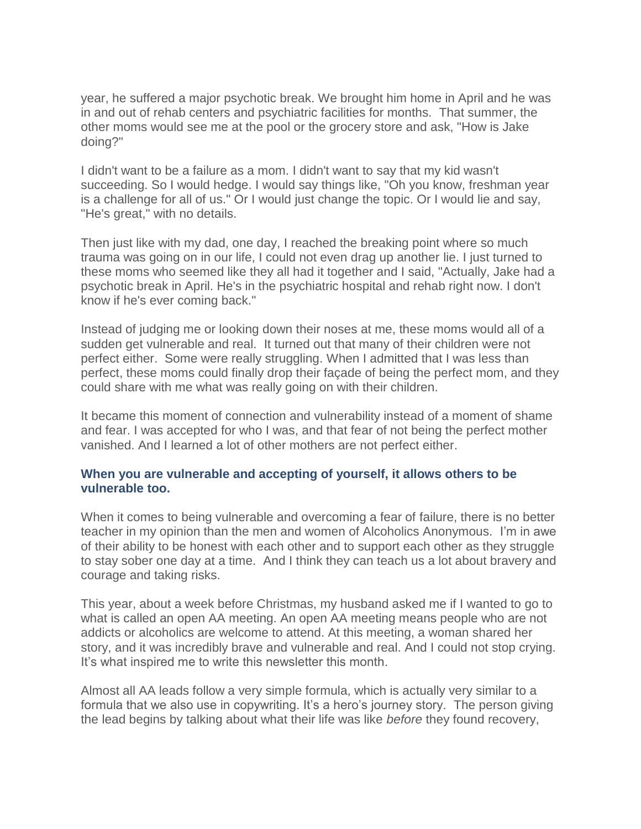year, he suffered a major psychotic break. We brought him home in April and he was in and out of rehab centers and psychiatric facilities for months. That summer, the other moms would see me at the pool or the grocery store and ask, "How is Jake doing?"

I didn't want to be a failure as a mom. I didn't want to say that my kid wasn't succeeding. So I would hedge. I would say things like, "Oh you know, freshman year is a challenge for all of us." Or I would just change the topic. Or I would lie and say, "He's great," with no details.

Then just like with my dad, one day, I reached the breaking point where so much trauma was going on in our life, I could not even drag up another lie. I just turned to these moms who seemed like they all had it together and I said, "Actually, Jake had a psychotic break in April. He's in the psychiatric hospital and rehab right now. I don't know if he's ever coming back."

Instead of judging me or looking down their noses at me, these moms would all of a sudden get vulnerable and real. It turned out that many of their children were not perfect either. Some were really struggling. When I admitted that I was less than perfect, these moms could finally drop their façade of being the perfect mom, and they could share with me what was really going on with their children.

It became this moment of connection and vulnerability instead of a moment of shame and fear. I was accepted for who I was, and that fear of not being the perfect mother vanished. And I learned a lot of other mothers are not perfect either.

### **When you are vulnerable and accepting of yourself, it allows others to be vulnerable too.**

When it comes to being vulnerable and overcoming a fear of failure, there is no better teacher in my opinion than the men and women of Alcoholics Anonymous. I'm in awe of their ability to be honest with each other and to support each other as they struggle to stay sober one day at a time. And I think they can teach us a lot about bravery and courage and taking risks.

This year, about a week before Christmas, my husband asked me if I wanted to go to what is called an open AA meeting. An open AA meeting means people who are not addicts or alcoholics are welcome to attend. At this meeting, a woman shared her story, and it was incredibly brave and vulnerable and real. And I could not stop crying. It's what inspired me to write this newsletter this month.

Almost all AA leads follow a very simple formula, which is actually very similar to a formula that we also use in copywriting. It's a hero's journey story. The person giving the lead begins by talking about what their life was like *before* they found recovery,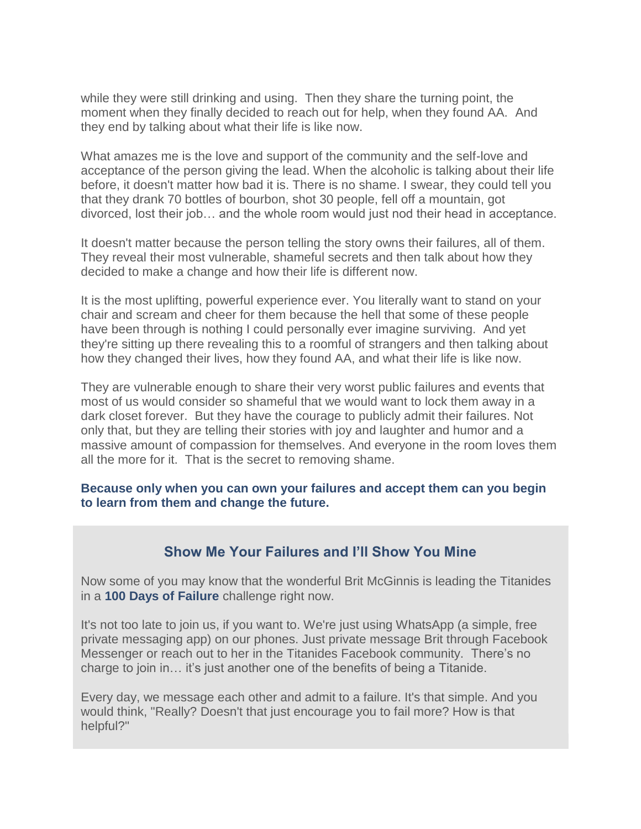while they were still drinking and using. Then they share the turning point, the moment when they finally decided to reach out for help, when they found AA. And they end by talking about what their life is like now.

What amazes me is the love and support of the community and the self-love and acceptance of the person giving the lead. When the alcoholic is talking about their life before, it doesn't matter how bad it is. There is no shame. I swear, they could tell you that they drank 70 bottles of bourbon, shot 30 people, fell off a mountain, got divorced, lost their job… and the whole room would just nod their head in acceptance.

It doesn't matter because the person telling the story owns their failures, all of them. They reveal their most vulnerable, shameful secrets and then talk about how they decided to make a change and how their life is different now.

It is the most uplifting, powerful experience ever. You literally want to stand on your chair and scream and cheer for them because the hell that some of these people have been through is nothing I could personally ever imagine surviving. And yet they're sitting up there revealing this to a roomful of strangers and then talking about how they changed their lives, how they found AA, and what their life is like now.

They are vulnerable enough to share their very worst public failures and events that most of us would consider so shameful that we would want to lock them away in a dark closet forever. But they have the courage to publicly admit their failures. Not only that, but they are telling their stories with joy and laughter and humor and a massive amount of compassion for themselves. And everyone in the room loves them all the more for it. That is the secret to removing shame.

#### **Because only when you can own your failures and accept them can you begin to learn from them and change the future.**

### **Show Me Your Failures and I'll Show You Mine**

Now some of you may know that the wonderful Brit McGinnis is leading the Titanides in a **100 Days of Failure** challenge right now.

It's not too late to join us, if you want to. We're just using WhatsApp (a simple, free private messaging app) on our phones. Just private message Brit through Facebook Messenger or reach out to her in the Titanides Facebook community. There's no charge to join in… it's just another one of the benefits of being a Titanide.

Every day, we message each other and admit to a failure. It's that simple. And you would think, "Really? Doesn't that just encourage you to fail more? How is that helpful?"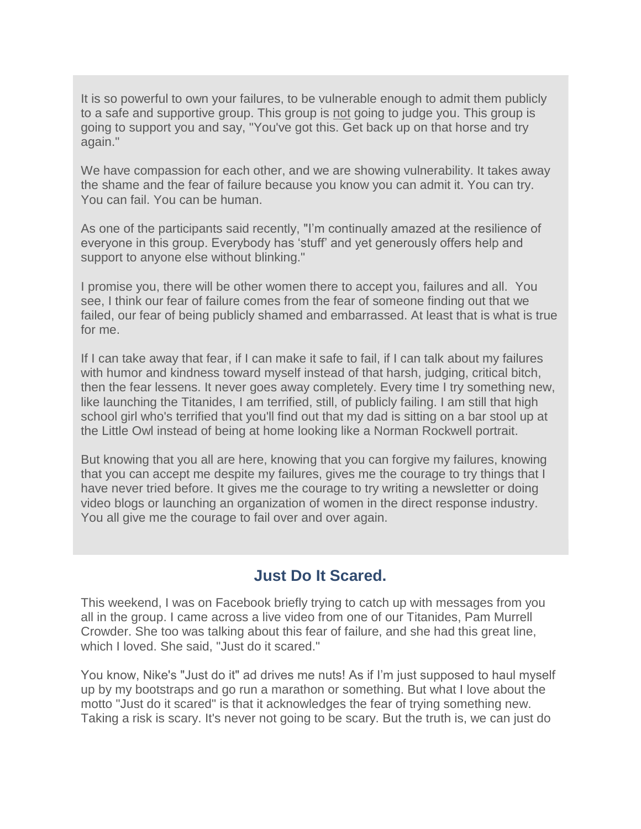It is so powerful to own your failures, to be vulnerable enough to admit them publicly to a safe and supportive group. This group is not going to judge you. This group is going to support you and say, "You've got this. Get back up on that horse and try again."

We have compassion for each other, and we are showing vulnerability. It takes away the shame and the fear of failure because you know you can admit it. You can try. You can fail. You can be human.

As one of the participants said recently, "I'm continually amazed at the resilience of everyone in this group. Everybody has 'stuff' and yet generously offers help and support to anyone else without blinking."

I promise you, there will be other women there to accept you, failures and all. You see, I think our fear of failure comes from the fear of someone finding out that we failed, our fear of being publicly shamed and embarrassed. At least that is what is true for me.

If I can take away that fear, if I can make it safe to fail, if I can talk about my failures with humor and kindness toward myself instead of that harsh, judging, critical bitch, then the fear lessens. It never goes away completely. Every time I try something new, like launching the Titanides, I am terrified, still, of publicly failing. I am still that high school girl who's terrified that you'll find out that my dad is sitting on a bar stool up at the Little Owl instead of being at home looking like a Norman Rockwell portrait.

But knowing that you all are here, knowing that you can forgive my failures, knowing that you can accept me despite my failures, gives me the courage to try things that I have never tried before. It gives me the courage to try writing a newsletter or doing video blogs or launching an organization of women in the direct response industry. You all give me the courage to fail over and over again.

# **Just Do It Scared.**

This weekend, I was on Facebook briefly trying to catch up with messages from you all in the group. I came across a live video from one of our Titanides, Pam Murrell Crowder. She too was talking about this fear of failure, and she had this great line, which I loved. She said, "Just do it scared."

You know, Nike's "Just do it" ad drives me nuts! As if I'm just supposed to haul myself up by my bootstraps and go run a marathon or something. But what I love about the motto "Just do it scared" is that it acknowledges the fear of trying something new. Taking a risk is scary. It's never not going to be scary. But the truth is, we can just do